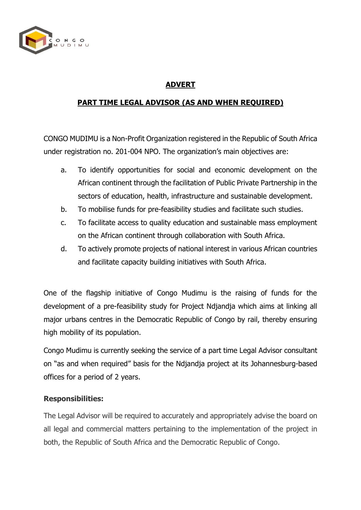

# **ADVERT**

## **PART TIME LEGAL ADVISOR (AS AND WHEN REQUIRED)**

CONGO MUDIMU is a Non-Profit Organization registered in the Republic of South Africa under registration no. 201-004 NPO. The organization's main objectives are:

- a. To identify opportunities for social and economic development on the African continent through the facilitation of Public Private Partnership in the sectors of education, health, infrastructure and sustainable development.
- b. To mobilise funds for pre-feasibility studies and facilitate such studies.
- c. To facilitate access to quality education and sustainable mass employment on the African continent through collaboration with South Africa.
- d. To actively promote projects of national interest in various African countries and facilitate capacity building initiatives with South Africa.

One of the flagship initiative of Congo Mudimu is the raising of funds for the development of a pre-feasibility study for Project Ndjandja which aims at linking all major urbans centres in the Democratic Republic of Congo by rail, thereby ensuring high mobility of its population.

Congo Mudimu is currently seeking the service of a part time Legal Advisor consultant on "as and when required" basis for the Ndjandja project at its Johannesburg-based offices for a period of 2 years.

### **Responsibilities:**

The Legal Advisor will be required to accurately and appropriately advise the board on all legal and commercial matters pertaining to the implementation of the project in both, the Republic of South Africa and the Democratic Republic of Congo.